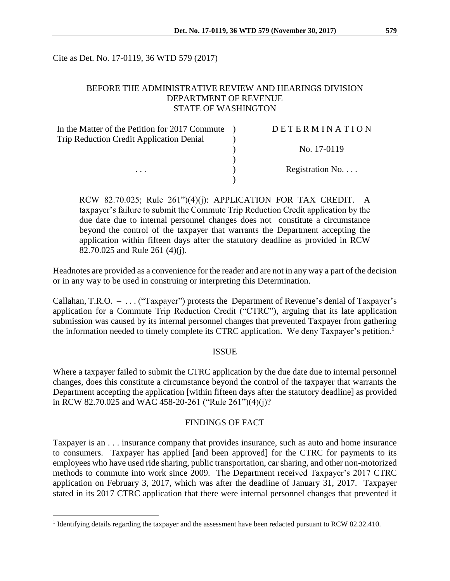Cite as Det. No. 17-0119, 36 WTD 579 (2017)

### BEFORE THE ADMINISTRATIVE REVIEW AND HEARINGS DIVISION DEPARTMENT OF REVENUE STATE OF WASHINGTON

| In the Matter of the Petition for 2017 Commute  | DETERMINATION   |
|-------------------------------------------------|-----------------|
| <b>Trip Reduction Credit Application Denial</b> |                 |
|                                                 | No. 17-0119     |
|                                                 |                 |
| .                                               | Registration No |
|                                                 |                 |

RCW 82.70.025; Rule 261")(4)(j): APPLICATION FOR TAX CREDIT. A taxpayer's failure to submit the Commute Trip Reduction Credit application by the due date due to internal personnel changes does not constitute a circumstance beyond the control of the taxpayer that warrants the Department accepting the application within fifteen days after the statutory deadline as provided in RCW 82.70.025 and Rule 261 (4)(j).

Headnotes are provided as a convenience for the reader and are not in any way a part of the decision or in any way to be used in construing or interpreting this Determination.

Callahan, T.R.O. – . . . ("Taxpayer") protests the Department of Revenue's denial of Taxpayer's application for a Commute Trip Reduction Credit ("CTRC"), arguing that its late application submission was caused by its internal personnel changes that prevented Taxpayer from gathering the information needed to timely complete its CTRC application. We deny Taxpayer's petition.<sup>1</sup>

#### ISSUE

Where a taxpayer failed to submit the CTRC application by the due date due to internal personnel changes, does this constitute a circumstance beyond the control of the taxpayer that warrants the Department accepting the application [within fifteen days after the statutory deadline] as provided in RCW 82.70.025 and WAC 458-20-261 ("Rule 261")(4)(j)?

#### FINDINGS OF FACT

Taxpayer is an . . . insurance company that provides insurance, such as auto and home insurance to consumers. Taxpayer has applied [and been approved] for the CTRC for payments to its employees who have used ride sharing, public transportation, car sharing, and other non-motorized methods to commute into work since 2009. The Department received Taxpayer's 2017 CTRC application on February 3, 2017, which was after the deadline of January 31, 2017. Taxpayer stated in its 2017 CTRC application that there were internal personnel changes that prevented it

 $\overline{a}$ 

<sup>&</sup>lt;sup>1</sup> Identifying details regarding the taxpayer and the assessment have been redacted pursuant to RCW 82.32.410.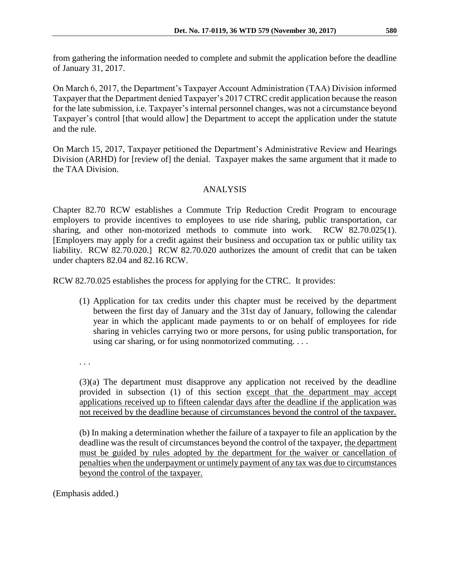from gathering the information needed to complete and submit the application before the deadline of January 31, 2017.

On March 6, 2017, the Department's Taxpayer Account Administration (TAA) Division informed Taxpayer that the Department denied Taxpayer's 2017 CTRC credit application because the reason for the late submission, i.e. Taxpayer's internal personnel changes, was not a circumstance beyond Taxpayer's control [that would allow] the Department to accept the application under the statute and the rule.

On March 15, 2017, Taxpayer petitioned the Department's Administrative Review and Hearings Division (ARHD) for [review of] the denial. Taxpayer makes the same argument that it made to the TAA Division.

# ANALYSIS

Chapter 82.70 RCW establishes a Commute Trip Reduction Credit Program to encourage employers to provide incentives to employees to use ride sharing, public transportation, car sharing, and other non-motorized methods to commute into work. RCW 82.70.025(1). [Employers may apply for a credit against their business and occupation tax or public utility tax liability. RCW 82.70.020.] RCW 82.70.020 authorizes the amount of credit that can be taken under chapters 82.04 and 82.16 RCW.

RCW 82.70.025 establishes the process for applying for the CTRC. It provides:

(1) Application for tax credits under this chapter must be received by the department between the first day of January and the 31st day of January, following the calendar year in which the applicant made payments to or on behalf of employees for ride sharing in vehicles carrying two or more persons, for using public transportation, for using car sharing, or for using nonmotorized commuting. . . .

. . .

(3)(a) The department must disapprove any application not received by the deadline provided in subsection (1) of this section except that the department may accept applications received up to fifteen calendar days after the deadline if the application was not received by the deadline because of circumstances beyond the control of the taxpayer.

(b) In making a determination whether the failure of a taxpayer to file an application by the deadline was the result of circumstances beyond the control of the taxpayer, the department must be guided by rules adopted by the department for the waiver or cancellation of penalties when the underpayment or untimely payment of any tax was due to circumstances beyond the control of the taxpayer.

(Emphasis added.)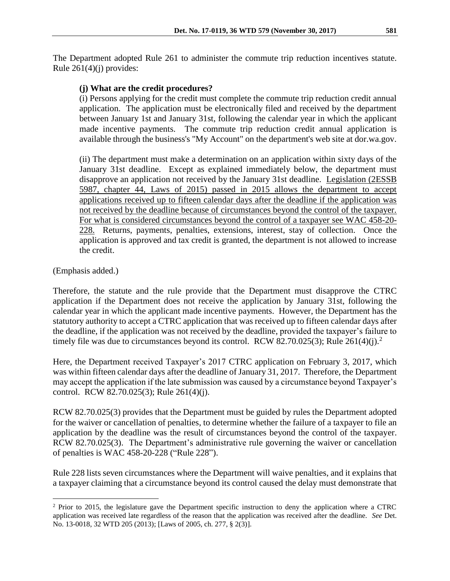### **(j) What are the credit procedures?**

(i) Persons applying for the credit must complete the commute trip reduction credit annual application. The application must be electronically filed and received by the department between January 1st and January 31st, following the calendar year in which the applicant made incentive payments. The commute trip reduction credit annual application is available through the business's "My Account" on the department's web site at dor.wa.gov.

(ii) The department must make a determination on an application within sixty days of the January 31st deadline. Except as explained immediately below, the department must disapprove an application not received by the January 31st deadline. Legislation (2ESSB 5987, chapter 44, Laws of 2015) passed in 2015 allows the department to accept applications received up to fifteen calendar days after the deadline if the application was not received by the deadline because of circumstances beyond the control of the taxpayer. For what is considered circumstances beyond the control of a taxpayer see WAC 458-20- 228. Returns, payments, penalties, extensions, interest, stay of collection. Once the application is approved and tax credit is granted, the department is not allowed to increase the credit.

(Emphasis added.)

Therefore, the statute and the rule provide that the Department must disapprove the CTRC application if the Department does not receive the application by January 31st, following the calendar year in which the applicant made incentive payments. However, the Department has the statutory authority to accept a CTRC application that was received up to fifteen calendar days after the deadline, if the application was not received by the deadline, provided the taxpayer's failure to timely file was due to circumstances beyond its control. RCW 82.70.025(3); Rule  $261(4)(i).^2$ 

Here, the Department received Taxpayer's 2017 CTRC application on February 3, 2017, which was within fifteen calendar days after the deadline of January 31, 2017. Therefore, the Department may accept the application if the late submission was caused by a circumstance beyond Taxpayer's control. RCW 82.70.025(3); Rule 261(4)(j).

RCW 82.70.025(3) provides that the Department must be guided by rules the Department adopted for the waiver or cancellation of penalties, to determine whether the failure of a taxpayer to file an application by the deadline was the result of circumstances beyond the control of the taxpayer. RCW 82.70.025(3). The Department's administrative rule governing the waiver or cancellation of penalties is WAC 458-20-228 ("Rule 228").

Rule 228 lists seven circumstances where the Department will waive penalties, and it explains that a taxpayer claiming that a circumstance beyond its control caused the delay must demonstrate that

 $\overline{a}$ <sup>2</sup> Prior to 2015, the legislature gave the Department specific instruction to deny the application where a CTRC application was received late regardless of the reason that the application was received after the deadline. *See* Det. No. 13-0018, 32 WTD 205 (2013); [Laws of 2005, ch. 277, § 2(3)].